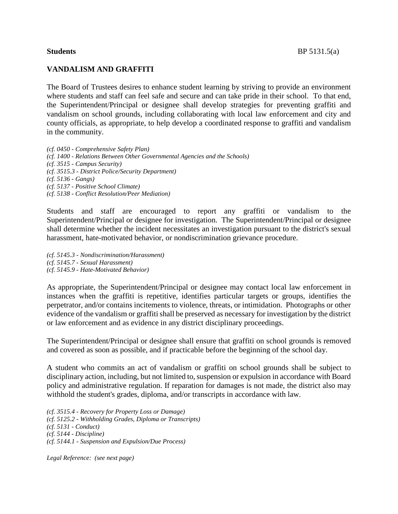## **VANDALISM AND GRAFFITI**

The Board of Trustees desires to enhance student learning by striving to provide an environment where students and staff can feel safe and secure and can take pride in their school. To that end, the Superintendent/Principal or designee shall develop strategies for preventing graffiti and vandalism on school grounds, including collaborating with local law enforcement and city and county officials, as appropriate, to help develop a coordinated response to graffiti and vandalism in the community.

*(cf. 0450 - Comprehensive Safety Plan) (cf. 1400 - Relations Between Other Governmental Agencies and the Schools) (cf. 3515 - Campus Security) (cf. 3515.3 - District Police/Security Department) (cf. 5136 - Gangs) (cf. 5137 - Positive School Climate) (cf. 5138 - Conflict Resolution/Peer Mediation)*

Students and staff are encouraged to report any graffiti or vandalism to the Superintendent/Principal or designee for investigation. The Superintendent/Principal or designee shall determine whether the incident necessitates an investigation pursuant to the district's sexual harassment, hate-motivated behavior, or nondiscrimination grievance procedure.

*(cf. 5145.3 - Nondiscrimination/Harassment) (cf. 5145.7 - Sexual Harassment) (cf. 5145.9 - Hate-Motivated Behavior)*

As appropriate, the Superintendent/Principal or designee may contact local law enforcement in instances when the graffiti is repetitive, identifies particular targets or groups, identifies the perpetrator, and/or contains incitements to violence, threats, or intimidation. Photographs or other evidence of the vandalism or graffiti shall be preserved as necessary for investigation by the district or law enforcement and as evidence in any district disciplinary proceedings.

The Superintendent/Principal or designee shall ensure that graffiti on school grounds is removed and covered as soon as possible, and if practicable before the beginning of the school day.

A student who commits an act of vandalism or graffiti on school grounds shall be subject to disciplinary action, including, but not limited to, suspension or expulsion in accordance with Board policy and administrative regulation. If reparation for damages is not made, the district also may withhold the student's grades, diploma, and/or transcripts in accordance with law.

*(cf. 3515.4 - Recovery for Property Loss or Damage) (cf. 5125.2 - Withholding Grades, Diploma or Transcripts) (cf. 5131 - Conduct) (cf. 5144 - Discipline) (cf. 5144.1 - Suspension and Expulsion/Due Process)*

*Legal Reference: (see next page)*